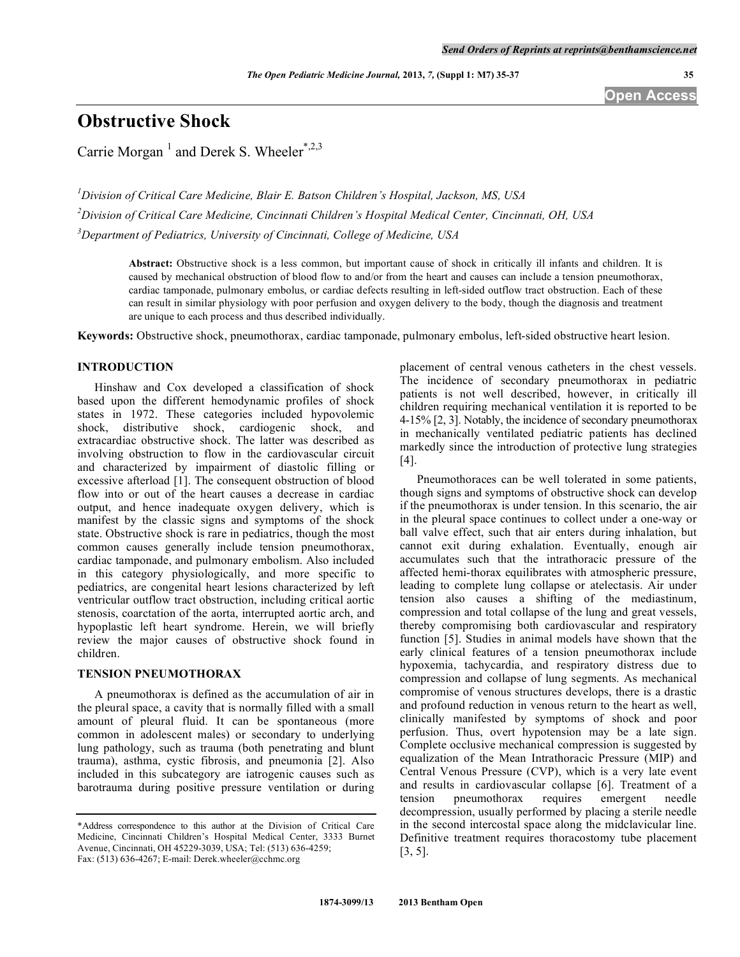# **Obstructive Shock**

Carrie Morgan<sup>1</sup> and Derek S. Wheeler<sup>\*,2,3</sup>

*1 Division of Critical Care Medicine, Blair E. Batson Children's Hospital, Jackson, MS, USA 2 Division of Critical Care Medicine, Cincinnati Children's Hospital Medical Center, Cincinnati, OH, USA 3 Department of Pediatrics, University of Cincinnati, College of Medicine, USA* 

**Abstract:** Obstructive shock is a less common, but important cause of shock in critically ill infants and children. It is caused by mechanical obstruction of blood flow to and/or from the heart and causes can include a tension pneumothorax, cardiac tamponade, pulmonary embolus, or cardiac defects resulting in left-sided outflow tract obstruction. Each of these can result in similar physiology with poor perfusion and oxygen delivery to the body, though the diagnosis and treatment are unique to each process and thus described individually.

**Keywords:** Obstructive shock, pneumothorax, cardiac tamponade, pulmonary embolus, left-sided obstructive heart lesion.

# **INTRODUCTION**

 Hinshaw and Cox developed a classification of shock based upon the different hemodynamic profiles of shock states in 1972. These categories included hypovolemic shock, distributive shock, cardiogenic shock, and extracardiac obstructive shock. The latter was described as involving obstruction to flow in the cardiovascular circuit and characterized by impairment of diastolic filling or excessive afterload [1]. The consequent obstruction of blood flow into or out of the heart causes a decrease in cardiac output, and hence inadequate oxygen delivery, which is manifest by the classic signs and symptoms of the shock state. Obstructive shock is rare in pediatrics, though the most common causes generally include tension pneumothorax, cardiac tamponade, and pulmonary embolism. Also included in this category physiologically, and more specific to pediatrics, are congenital heart lesions characterized by left ventricular outflow tract obstruction, including critical aortic stenosis, coarctation of the aorta, interrupted aortic arch, and hypoplastic left heart syndrome. Herein, we will briefly review the major causes of obstructive shock found in children.

# **TENSION PNEUMOTHORAX**

 A pneumothorax is defined as the accumulation of air in the pleural space, a cavity that is normally filled with a small amount of pleural fluid. It can be spontaneous (more common in adolescent males) or secondary to underlying lung pathology, such as trauma (both penetrating and blunt trauma), asthma, cystic fibrosis, and pneumonia [2]. Also included in this subcategory are iatrogenic causes such as barotrauma during positive pressure ventilation or during

placement of central venous catheters in the chest vessels. The incidence of secondary pneumothorax in pediatric patients is not well described, however, in critically ill children requiring mechanical ventilation it is reported to be 4-15% [2, 3]. Notably, the incidence of secondary pneumothorax in mechanically ventilated pediatric patients has declined markedly since the introduction of protective lung strategies [4].

 Pneumothoraces can be well tolerated in some patients, though signs and symptoms of obstructive shock can develop if the pneumothorax is under tension. In this scenario, the air in the pleural space continues to collect under a one-way or ball valve effect, such that air enters during inhalation, but cannot exit during exhalation. Eventually, enough air accumulates such that the intrathoracic pressure of the affected hemi-thorax equilibrates with atmospheric pressure, leading to complete lung collapse or atelectasis. Air under tension also causes a shifting of the mediastinum, compression and total collapse of the lung and great vessels, thereby compromising both cardiovascular and respiratory function [5]. Studies in animal models have shown that the early clinical features of a tension pneumothorax include hypoxemia, tachycardia, and respiratory distress due to compression and collapse of lung segments. As mechanical compromise of venous structures develops, there is a drastic and profound reduction in venous return to the heart as well, clinically manifested by symptoms of shock and poor perfusion. Thus, overt hypotension may be a late sign. Complete occlusive mechanical compression is suggested by equalization of the Mean Intrathoracic Pressure (MIP) and Central Venous Pressure (CVP), which is a very late event and results in cardiovascular collapse [6]. Treatment of a tension pneumothorax requires emergent needle tension pneumothorax requires emergent needle decompression, usually performed by placing a sterile needle in the second intercostal space along the midclavicular line. Definitive treatment requires thoracostomy tube placement [3, 5].

**Open Access** 

<sup>\*</sup>Address correspondence to this author at the Division of Critical Care Medicine, Cincinnati Children's Hospital Medical Center, 3333 Burnet Avenue, Cincinnati, OH 45229-3039, USA; Tel: (513) 636-4259; Fax: (513) 636-4267; E-mail: Derek.wheeler@cchmc.org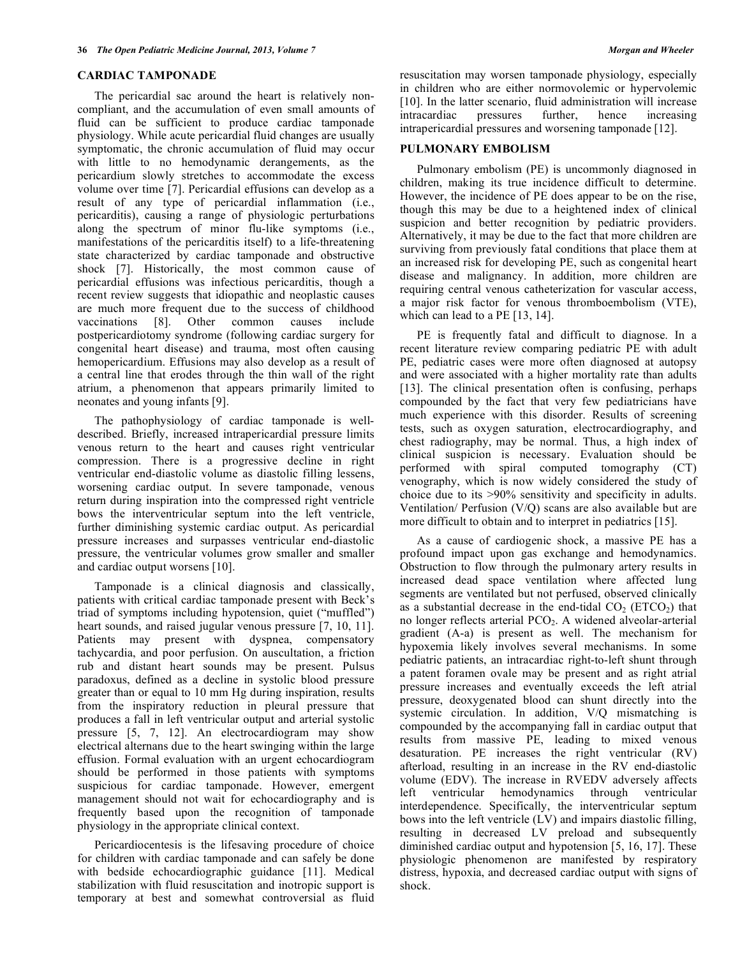## **CARDIAC TAMPONADE**

 The pericardial sac around the heart is relatively noncompliant, and the accumulation of even small amounts of fluid can be sufficient to produce cardiac tamponade physiology. While acute pericardial fluid changes are usually symptomatic, the chronic accumulation of fluid may occur with little to no hemodynamic derangements, as the pericardium slowly stretches to accommodate the excess volume over time [7]. Pericardial effusions can develop as a result of any type of pericardial inflammation (i.e., pericarditis), causing a range of physiologic perturbations along the spectrum of minor flu-like symptoms (i.e., manifestations of the pericarditis itself) to a life-threatening state characterized by cardiac tamponade and obstructive shock [7]. Historically, the most common cause of pericardial effusions was infectious pericarditis, though a recent review suggests that idiopathic and neoplastic causes are much more frequent due to the success of childhood vaccinations [8]. Other common causes include postpericardiotomy syndrome (following cardiac surgery for congenital heart disease) and trauma, most often causing hemopericardium. Effusions may also develop as a result of a central line that erodes through the thin wall of the right atrium, a phenomenon that appears primarily limited to neonates and young infants [9].

 The pathophysiology of cardiac tamponade is welldescribed. Briefly, increased intrapericardial pressure limits venous return to the heart and causes right ventricular compression. There is a progressive decline in right ventricular end-diastolic volume as diastolic filling lessens, worsening cardiac output. In severe tamponade, venous return during inspiration into the compressed right ventricle bows the interventricular septum into the left ventricle, further diminishing systemic cardiac output. As pericardial pressure increases and surpasses ventricular end-diastolic pressure, the ventricular volumes grow smaller and smaller and cardiac output worsens [10].

 Tamponade is a clinical diagnosis and classically, patients with critical cardiac tamponade present with Beck's triad of symptoms including hypotension, quiet ("muffled") heart sounds, and raised jugular venous pressure [7, 10, 11]. Patients may present with dyspnea, compensatory tachycardia, and poor perfusion. On auscultation, a friction rub and distant heart sounds may be present. Pulsus paradoxus, defined as a decline in systolic blood pressure greater than or equal to 10 mm Hg during inspiration, results from the inspiratory reduction in pleural pressure that produces a fall in left ventricular output and arterial systolic pressure [5, 7, 12]. An electrocardiogram may show electrical alternans due to the heart swinging within the large effusion. Formal evaluation with an urgent echocardiogram should be performed in those patients with symptoms suspicious for cardiac tamponade. However, emergent management should not wait for echocardiography and is frequently based upon the recognition of tamponade physiology in the appropriate clinical context.

 Pericardiocentesis is the lifesaving procedure of choice for children with cardiac tamponade and can safely be done with bedside echocardiographic guidance [11]. Medical stabilization with fluid resuscitation and inotropic support is temporary at best and somewhat controversial as fluid

resuscitation may worsen tamponade physiology, especially in children who are either normovolemic or hypervolemic [10]. In the latter scenario, fluid administration will increase intracardiac pressures further, hence increasing intrapericardial pressures and worsening tamponade [12].

# **PULMONARY EMBOLISM**

 Pulmonary embolism (PE) is uncommonly diagnosed in children, making its true incidence difficult to determine. However, the incidence of PE does appear to be on the rise, though this may be due to a heightened index of clinical suspicion and better recognition by pediatric providers. Alternatively, it may be due to the fact that more children are surviving from previously fatal conditions that place them at an increased risk for developing PE, such as congenital heart disease and malignancy. In addition, more children are requiring central venous catheterization for vascular access, a major risk factor for venous thromboembolism (VTE), which can lead to a PE [13, 14].

 PE is frequently fatal and difficult to diagnose. In a recent literature review comparing pediatric PE with adult PE, pediatric cases were more often diagnosed at autopsy and were associated with a higher mortality rate than adults [13]. The clinical presentation often is confusing, perhaps compounded by the fact that very few pediatricians have much experience with this disorder. Results of screening tests, such as oxygen saturation, electrocardiography, and chest radiography, may be normal. Thus, a high index of clinical suspicion is necessary. Evaluation should be performed with spiral computed tomography (CT) venography, which is now widely considered the study of choice due to its >90% sensitivity and specificity in adults. Ventilation/ Perfusion (V/Q) scans are also available but are more difficult to obtain and to interpret in pediatrics [15].

 As a cause of cardiogenic shock, a massive PE has a profound impact upon gas exchange and hemodynamics. Obstruction to flow through the pulmonary artery results in increased dead space ventilation where affected lung segments are ventilated but not perfused, observed clinically as a substantial decrease in the end-tidal  $CO<sub>2</sub> (ETCO<sub>2</sub>)$  that no longer reflects arterial  $PCO<sub>2</sub>$ . A widened alveolar-arterial gradient (A-a) is present as well. The mechanism for hypoxemia likely involves several mechanisms. In some pediatric patients, an intracardiac right-to-left shunt through a patent foramen ovale may be present and as right atrial pressure increases and eventually exceeds the left atrial pressure, deoxygenated blood can shunt directly into the systemic circulation. In addition, V/O mismatching is compounded by the accompanying fall in cardiac output that results from massive PE, leading to mixed venous desaturation. PE increases the right ventricular (RV) afterload, resulting in an increase in the RV end-diastolic volume (EDV). The increase in RVEDV adversely affects left ventricular hemodynamics through ventricular interdependence. Specifically, the interventricular septum bows into the left ventricle (LV) and impairs diastolic filling, resulting in decreased LV preload and subsequently diminished cardiac output and hypotension [5, 16, 17]. These physiologic phenomenon are manifested by respiratory distress, hypoxia, and decreased cardiac output with signs of shock.